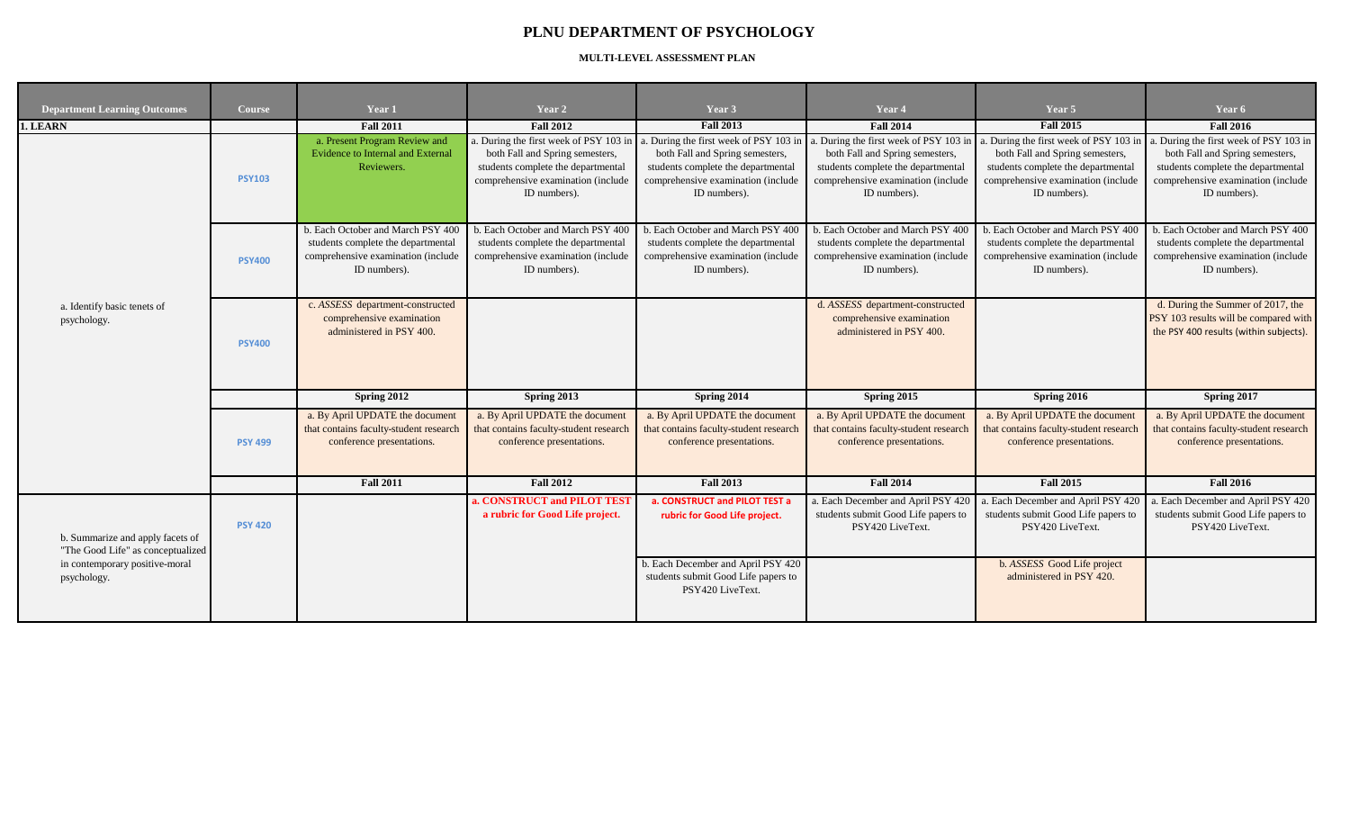## **PLNU DEPARTMENT OF PSYCHOLOGY**

## **MULTI-LEVEL ASSESSMENT PLAN**

| <b>Department Learning Outcomes</b>                                                                                    | <b>Course</b>  | Year 1                                                                                                                        | Year 2                                                                                                                                                                                                       | Year 3                                                                                                                        | Year 4                                                                                                                                                               | Year 5                                                                                                                                                               | Year 6                                                                                                                                                             |
|------------------------------------------------------------------------------------------------------------------------|----------------|-------------------------------------------------------------------------------------------------------------------------------|--------------------------------------------------------------------------------------------------------------------------------------------------------------------------------------------------------------|-------------------------------------------------------------------------------------------------------------------------------|----------------------------------------------------------------------------------------------------------------------------------------------------------------------|----------------------------------------------------------------------------------------------------------------------------------------------------------------------|--------------------------------------------------------------------------------------------------------------------------------------------------------------------|
| 1. LEARN                                                                                                               |                | <b>Fall 2011</b>                                                                                                              | <b>Fall 2012</b>                                                                                                                                                                                             | <b>Fall 2013</b>                                                                                                              | <b>Fall 2014</b>                                                                                                                                                     | <b>Fall 2015</b>                                                                                                                                                     | <b>Fall 2016</b>                                                                                                                                                   |
| a. Identify basic tenets of<br>psychology.                                                                             | <b>PSY103</b>  | a. Present Program Review and<br><b>Evidence to Internal and External</b><br>Reviewers.                                       | a. During the first week of PSY 103 in a. During the first week of PSY 103 in<br>both Fall and Spring semesters,<br>students complete the departmental<br>comprehensive examination (include<br>ID numbers). | both Fall and Spring semesters,<br>students complete the departmental<br>comprehensive examination (include<br>ID numbers).   | . During the first week of PSY 103 in<br>both Fall and Spring semesters,<br>students complete the departmental<br>comprehensive examination (include<br>ID numbers). | . During the first week of PSY 103 in<br>both Fall and Spring semesters,<br>students complete the departmental<br>comprehensive examination (include<br>ID numbers). | During the first week of PSY 103 in<br>both Fall and Spring semesters,<br>students complete the departmental<br>comprehensive examination (include<br>ID numbers). |
|                                                                                                                        | <b>PSY400</b>  | b. Each October and March PSY 400<br>students complete the departmental<br>comprehensive examination (include<br>ID numbers). | b. Each October and March PSY 400<br>students complete the departmental<br>comprehensive examination (include<br>ID numbers).                                                                                | b. Each October and March PSY 400<br>students complete the departmental<br>comprehensive examination (include<br>ID numbers). | b. Each October and March PSY 400<br>students complete the departmental<br>comprehensive examination (include<br>ID numbers).                                        | b. Each October and March PSY 400<br>students complete the departmental<br>comprehensive examination (include<br>ID numbers).                                        | b. Each October and March PSY 400<br>students complete the departmental<br>comprehensive examination (include<br>ID numbers).                                      |
|                                                                                                                        | <b>PSY400</b>  | c. ASSESS department-constructed<br>comprehensive examination<br>administered in PSY 400.                                     |                                                                                                                                                                                                              |                                                                                                                               | d. ASSESS department-constructed<br>comprehensive examination<br>administered in PSY 400.                                                                            |                                                                                                                                                                      | d. During the Summer of 2017, the<br>PSY 103 results will be compared with<br>the PSY 400 results (within subjects).                                               |
|                                                                                                                        |                | Spring 2012                                                                                                                   | <b>Spring 2013</b>                                                                                                                                                                                           | Spring 2014                                                                                                                   | Spring 2015                                                                                                                                                          | Spring 2016                                                                                                                                                          | Spring 2017                                                                                                                                                        |
|                                                                                                                        | <b>PSY 499</b> | a. By April UPDATE the document<br>that contains faculty-student research<br>conference presentations.                        | a. By April UPDATE the document<br>that contains faculty-student research<br>conference presentations.                                                                                                       | a. By April UPDATE the document<br>that contains faculty-student research<br>conference presentations.                        | a. By April UPDATE the document<br>that contains faculty-student research<br>conference presentations.                                                               | a. By April UPDATE the document<br>that contains faculty-student research<br>conference presentations.                                                               | a. By April UPDATE the document<br>that contains faculty-student research<br>conference presentations.                                                             |
|                                                                                                                        |                | <b>Fall 2011</b>                                                                                                              | <b>Fall 2012</b>                                                                                                                                                                                             | <b>Fall 2013</b>                                                                                                              | <b>Fall 2014</b>                                                                                                                                                     | <b>Fall 2015</b>                                                                                                                                                     | <b>Fall 2016</b>                                                                                                                                                   |
| b. Summarize and apply facets of<br>"The Good Life" as conceptualized<br>in contemporary positive-moral<br>psychology. | <b>PSY 420</b> |                                                                                                                               | a. CONSTRUCT and PILOT TEST<br>a rubric for Good Life project.                                                                                                                                               | a. CONSTRUCT and PILOT TEST a<br>rubric for Good Life project.                                                                | a. Each December and April PSY 420<br>students submit Good Life papers to<br>PSY420 LiveText.                                                                        | a. Each December and April PSY 420<br>students submit Good Life papers to<br>PSY420 LiveText.                                                                        | a. Each December and April PSY 420<br>students submit Good Life papers to<br>PSY420 LiveText.                                                                      |
|                                                                                                                        |                |                                                                                                                               |                                                                                                                                                                                                              | b. Each December and April PSY 420<br>students submit Good Life papers to<br>PSY420 LiveText.                                 |                                                                                                                                                                      | b. ASSESS Good Life project<br>administered in PSY 420.                                                                                                              |                                                                                                                                                                    |